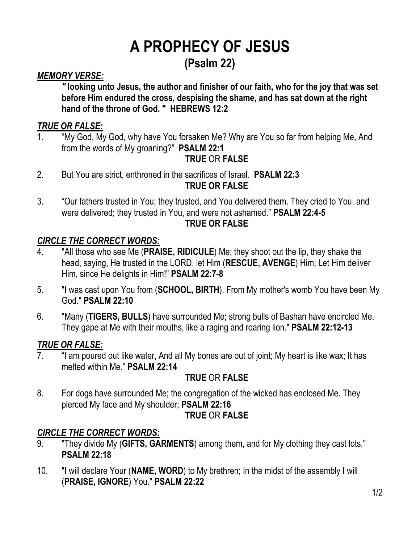## **A PROPHECY OF JESUS (Psalm 22)**

#### *MEMORY VERSE:*

*"* **looking unto Jesus, the author and finisher of our faith, who for the joy that was set before Him endured the cross, despising the shame, and has sat down at the right hand of the throne of God. "****HEBREWS 12:2**

#### *TRUE OR FALSE:*

1. "My God, My God, why have You forsaken Me? Why are You so far from helping Me, And from the words of My groaning?" **PSALM 22:1**

#### **TRUE** OR **FALSE**

- 2. But You are strict, enthroned in the sacrifices of Israel. **PSALM 22:3 TRUE OR FALSE**
- 3. "Our fathers trusted in You; they trusted, and You delivered them. They cried to You, and were delivered; they trusted in You, and were not ashamed." **PSALM 22:4-5 TRUE OR FALSE**

#### *CIRCLE THE CORRECT WORDS:*

- 4. "All those who see Me (**PRAISE, RIDICULE**) Me; they shoot out the lip, they shake the head, saying, He trusted in the LORD, let Him (**RESCUE, AVENGE**) Him; Let Him deliver Him, since He delights in Him!" **PSALM 22:7-8**
- 5. "I was cast upon You from (**SCHOOL, BIRTH**). From My mother's womb You have been My God." **PSALM 22:10**
- 6. "Many (**TIGERS, BULLS**) have surrounded Me; strong bulls of Bashan have encircled Me. They gape at Me with their mouths, like a raging and roaring lion." **PSALM 22:12-13**

#### *TRUE OR FALSE:*

7. "I am poured out like water, And all My bones are out of joint; My heart is like wax; It has melted within Me." **PSALM 22:14**

#### **TRUE** OR **FALSE**

8. For dogs have surrounded Me; the congregation of the wicked has enclosed Me. They pierced My face and My shoulder; **PSALM 22:16**

#### **TRUE** OR **FALSE**

#### *CIRCLE THE CORRECT WORDS:*

- 9. "They divide My (**GIFTS, GARMENTS**) among them, and for My clothing they cast lots." **PSALM 22:18**
- 10. "I will declare Your (**NAME, WORD**) to My brethren; In the midst of the assembly I will (**PRAISE, IGNORE**) You." **PSALM 22:22**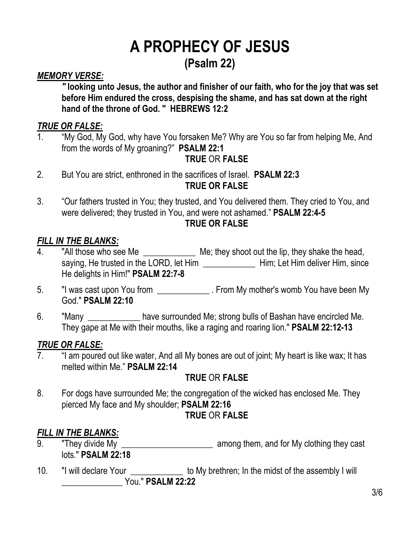## **A PROPHECY OF JESUS (Psalm 22)**

#### *MEMORY VERSE:*

*"* **looking unto Jesus, the author and finisher of our faith, who for the joy that was set before Him endured the cross, despising the shame, and has sat down at the right hand of the throne of God. "****HEBREWS 12:2**

#### *TRUE OR FALSE:*

1. "My God, My God, why have You forsaken Me? Why are You so far from helping Me, And from the words of My groaning?" **PSALM 22:1**

#### **TRUE** OR **FALSE**

- 2. But You are strict, enthroned in the sacrifices of Israel. **PSALM 22:3 TRUE OR FALSE**
- 3. "Our fathers trusted in You; they trusted, and You delivered them. They cried to You, and were delivered; they trusted in You, and were not ashamed." **PSALM 22:4-5 TRUE OR FALSE**

#### *FILL IN THE BLANKS:*

- 4. "All those who see Me \_\_\_\_\_\_\_\_\_\_\_\_\_\_\_ Me; they shoot out the lip, they shake the head, saying, He trusted in the LORD, let Him \_\_\_\_\_\_\_\_\_\_\_\_\_\_\_\_\_ Him; Let Him deliver Him, since He delights in Him!" **PSALM 22:7-8**
- 5. "I was cast upon You from \_\_\_\_\_\_\_\_\_\_\_\_\_\_. From My mother's womb You have been My God." **PSALM 22:10**
- 6. "Many have surrounded Me; strong bulls of Bashan have encircled Me. They gape at Me with their mouths, like a raging and roaring lion." **PSALM 22:12-13**

#### *TRUE OR FALSE:*

7. "I am poured out like water, And all My bones are out of joint; My heart is like wax; It has melted within Me." **PSALM 22:14**

#### **TRUE** OR **FALSE**

8. For dogs have surrounded Me; the congregation of the wicked has enclosed Me. They pierced My face and My shoulder; **PSALM 22:16 TRUE** OR **FALSE**

#### *FILL IN THE BLANKS:*

- 9. "They divide My **Example 20** among them, and for My clothing they cast lots." **PSALM 22:18**
- 10. "I will declare Your \_\_\_\_\_\_\_\_\_\_\_\_ to My brethren; In the midst of the assembly I will \_\_\_\_\_\_\_\_\_\_\_\_\_\_ You." **PSALM 22:22**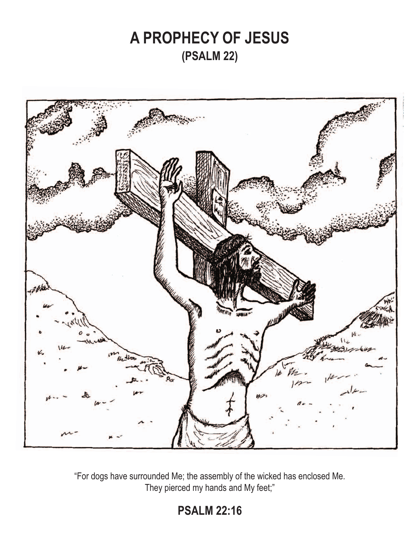## **A PROPHECY OF JESUS (PSALM 22)**



"For dogs have surrounded Me; the assembly of the wicked has enclosed Me. They pierced my hands and My feet;"

### **PSALM 22:16**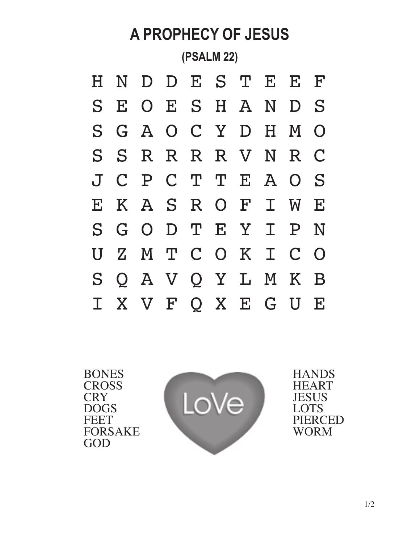

BONES **CROSS CRY** DOGS **FEET** FORSAKE GOD



**HANDS HEART JESUS** LOTS PIERCED WORM